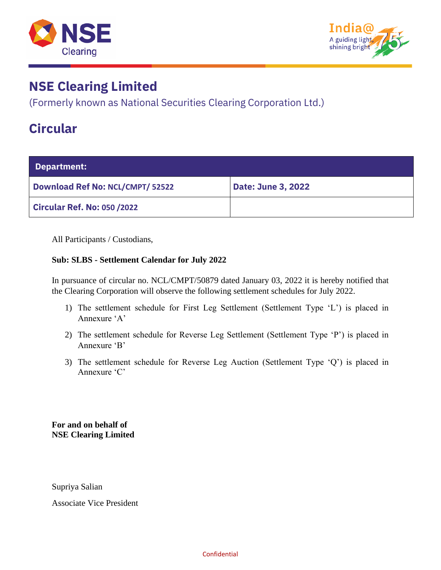



(Formerly known as National Securities Clearing Corporation Ltd.)

### **Circular**

| Department:                             |                           |  |  |  |  |
|-----------------------------------------|---------------------------|--|--|--|--|
| <b>Download Ref No: NCL/CMPT/ 52522</b> | <b>Date: June 3, 2022</b> |  |  |  |  |
| <b>Circular Ref. No: 050 /2022</b>      |                           |  |  |  |  |

All Participants / Custodians,

#### **Sub: SLBS - Settlement Calendar for July 2022**

In pursuance of circular no. NCL/CMPT/50879 dated January 03, 2022 it is hereby notified that the Clearing Corporation will observe the following settlement schedules for July 2022.

- 1) The settlement schedule for First Leg Settlement (Settlement Type 'L') is placed in Annexure 'A'
- 2) The settlement schedule for Reverse Leg Settlement (Settlement Type 'P') is placed in Annexure 'B'
- 3) The settlement schedule for Reverse Leg Auction (Settlement Type 'Q') is placed in Annexure 'C'

**For and on behalf of NSE Clearing Limited**

Supriya Salian

Associate Vice President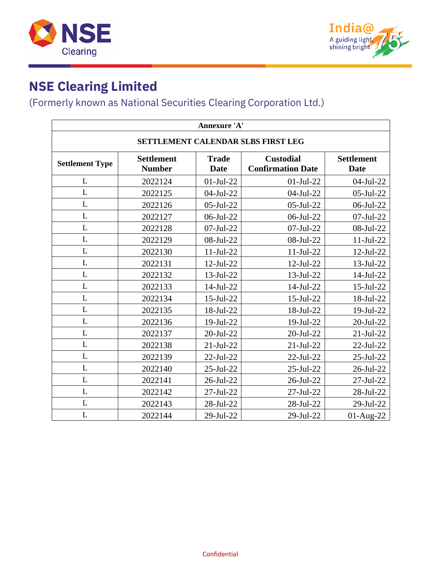



### (Formerly known as National Securities Clearing Corporation Ltd.)

| Annexure 'A'                       |                                    |                             |                                              |                                  |  |  |  |
|------------------------------------|------------------------------------|-----------------------------|----------------------------------------------|----------------------------------|--|--|--|
| SETTLEMENT CALENDAR SLBS FIRST LEG |                                    |                             |                                              |                                  |  |  |  |
| <b>Settlement Type</b>             | <b>Settlement</b><br><b>Number</b> | <b>Trade</b><br><b>Date</b> | <b>Custodial</b><br><b>Confirmation Date</b> | <b>Settlement</b><br><b>Date</b> |  |  |  |
| L                                  | 2022124                            | $01-Jul-22$                 | $01-Jul-22$                                  | 04-Jul-22                        |  |  |  |
| L                                  | 2022125                            | 04-Jul-22                   | 04-Jul-22                                    | 05-Jul-22                        |  |  |  |
| L                                  | 2022126                            | 05-Jul-22                   | 05-Jul-22                                    | 06-Jul-22                        |  |  |  |
| L                                  | 2022127                            | 06-Jul-22                   | 06-Jul-22                                    | 07-Jul-22                        |  |  |  |
| L                                  | 2022128                            | 07-Jul-22                   | 07-Jul-22                                    | 08-Jul-22                        |  |  |  |
| L                                  | 2022129                            | 08-Jul-22                   | 08-Jul-22                                    | $11-Jul-22$                      |  |  |  |
| L                                  | 2022130                            | $11-Jul-22$                 | $11-Jul-22$                                  | $12$ -Jul-22                     |  |  |  |
| L                                  | 2022131                            | 12-Jul-22                   | $12$ -Jul-22                                 | 13-Jul-22                        |  |  |  |
| L                                  | 2022132                            | 13-Jul-22                   | 13-Jul-22                                    | 14-Jul-22                        |  |  |  |
| L                                  | 2022133                            | 14-Jul-22                   | 14-Jul-22                                    | 15-Jul-22                        |  |  |  |
| L                                  | 2022134                            | 15-Jul-22                   | $15$ -Jul-22                                 | 18-Jul-22                        |  |  |  |
| L                                  | 2022135                            | 18-Jul-22                   | 18-Jul-22                                    | 19-Jul-22                        |  |  |  |
| L                                  | 2022136                            | 19-Jul-22                   | 19-Jul-22                                    | 20-Jul-22                        |  |  |  |
| L                                  | 2022137                            | 20-Jul-22                   | $20$ -Jul- $22$                              | $21-Jul-22$                      |  |  |  |
| L                                  | 2022138                            | $21-Jul-22$                 | $21$ -Jul-22                                 | 22-Jul-22                        |  |  |  |
| L                                  | 2022139                            | 22-Jul-22                   | 22-Jul-22                                    | 25-Jul-22                        |  |  |  |
| L                                  | 2022140                            | 25-Jul-22                   | 25-Jul-22                                    | 26-Jul-22                        |  |  |  |
| L                                  | 2022141                            | 26-Jul-22                   | 26-Jul-22                                    | 27-Jul-22                        |  |  |  |
| L                                  | 2022142                            | 27-Jul-22                   | 27-Jul-22                                    | 28-Jul-22                        |  |  |  |
| L                                  | 2022143                            | 28-Jul-22                   | 28-Jul-22                                    | 29-Jul-22                        |  |  |  |
| L                                  | 2022144                            | 29-Jul-22                   | 29-Jul-22                                    | 01-Aug-22                        |  |  |  |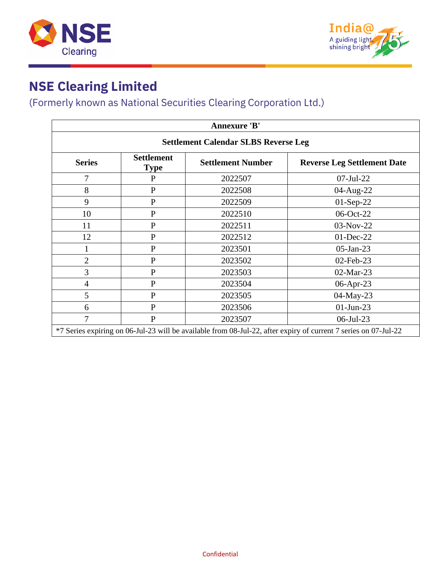



#### (Formerly known as National Securities Clearing Corporation Ltd.)

| <b>Annexure 'B'</b>                                                                                             |                                  |                          |                                    |  |  |  |
|-----------------------------------------------------------------------------------------------------------------|----------------------------------|--------------------------|------------------------------------|--|--|--|
| <b>Settlement Calendar SLBS Reverse Leg</b>                                                                     |                                  |                          |                                    |  |  |  |
| <b>Series</b>                                                                                                   | <b>Settlement</b><br><b>Type</b> | <b>Settlement Number</b> | <b>Reverse Leg Settlement Date</b> |  |  |  |
| $\overline{7}$                                                                                                  | $\mathbf{P}$                     | 2022507                  | 07-Jul-22                          |  |  |  |
| 8                                                                                                               | ${\bf P}$                        | 2022508                  | 04-Aug-22                          |  |  |  |
| 9                                                                                                               | ${\bf P}$                        | 2022509                  | 01-Sep-22                          |  |  |  |
| 10                                                                                                              | $\mathbf{P}$                     | 2022510                  | 06-Oct-22                          |  |  |  |
| 11                                                                                                              | $\mathbf{P}$                     | 2022511                  | 03-Nov-22                          |  |  |  |
| 12                                                                                                              | $\mathbf{P}$                     | 2022512                  | 01-Dec-22                          |  |  |  |
|                                                                                                                 | $\mathbf{P}$                     | 2023501                  | $05$ -Jan-23                       |  |  |  |
| $\overline{2}$                                                                                                  | $\mathbf{P}$                     | 2023502                  | 02-Feb-23                          |  |  |  |
| $\overline{3}$                                                                                                  | ${\bf P}$                        | 2023503                  | 02-Mar-23                          |  |  |  |
| $\overline{4}$                                                                                                  | ${\bf P}$                        | 2023504                  | 06-Apr-23                          |  |  |  |
| 5                                                                                                               | ${\bf P}$                        | 2023505                  | 04-May-23                          |  |  |  |
| 6                                                                                                               | $\mathbf{P}$                     | 2023506                  | $01$ -Jun-23                       |  |  |  |
| 7                                                                                                               | $\mathbf P$                      | 2023507                  | 06-Jul-23                          |  |  |  |
| *7 Series expiring on 06-Jul-23 will be available from 08-Jul-22, after expiry of current 7 series on 07-Jul-22 |                                  |                          |                                    |  |  |  |

Confidential